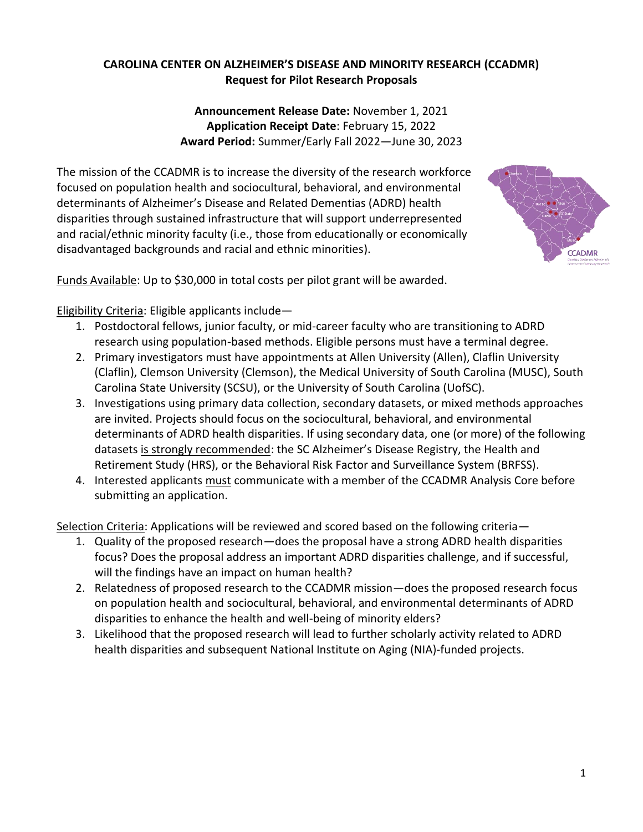# **CAROLINA CENTER ON ALZHEIMER'S DISEASE AND MINORITY RESEARCH (CCADMR) Request for Pilot Research Proposals**

**Announcement Release Date:** November 1, 2021 **Application Receipt Date**: February 15, 2022 **Award Period:** Summer/Early Fall 2022—June 30, 2023

The mission of the CCADMR is to increase the diversity of the research workforce focused on population health and sociocultural, behavioral, and environmental determinants of Alzheimer's Disease and Related Dementias (ADRD) health disparities through sustained infrastructure that will support underrepresented and racial/ethnic minority faculty (i.e., those from educationally or economically disadvantaged backgrounds and racial and ethnic minorities).



Funds Available: Up to \$30,000 in total costs per pilot grant will be awarded.

Eligibility Criteria: Eligible applicants include—

- 1. Postdoctoral fellows, junior faculty, or mid-career faculty who are transitioning to ADRD research using population-based methods. Eligible persons must have a terminal degree.
- 2. Primary investigators must have appointments at Allen University (Allen), Claflin University (Claflin), Clemson University (Clemson), the Medical University of South Carolina (MUSC), South Carolina State University (SCSU), or the University of South Carolina (UofSC).
- 3. Investigations using primary data collection, secondary datasets, or mixed methods approaches are invited. Projects should focus on the sociocultural, behavioral, and environmental determinants of ADRD health disparities. If using secondary data, one (or more) of the following datasets is strongly recommended: the SC Alzheimer's Disease Registry, the Health and Retirement Study (HRS), or the Behavioral Risk Factor and Surveillance System (BRFSS).
- 4. Interested applicants must communicate with a member of the CCADMR Analysis Core before submitting an application.

Selection Criteria: Applications will be reviewed and scored based on the following criteria—

- 1. Quality of the proposed research—does the proposal have a strong ADRD health disparities focus? Does the proposal address an important ADRD disparities challenge, and if successful, will the findings have an impact on human health?
- 2. Relatedness of proposed research to the CCADMR mission—does the proposed research focus on population health and sociocultural, behavioral, and environmental determinants of ADRD disparities to enhance the health and well-being of minority elders?
- 3. Likelihood that the proposed research will lead to further scholarly activity related to ADRD health disparities and subsequent National Institute on Aging (NIA)-funded projects.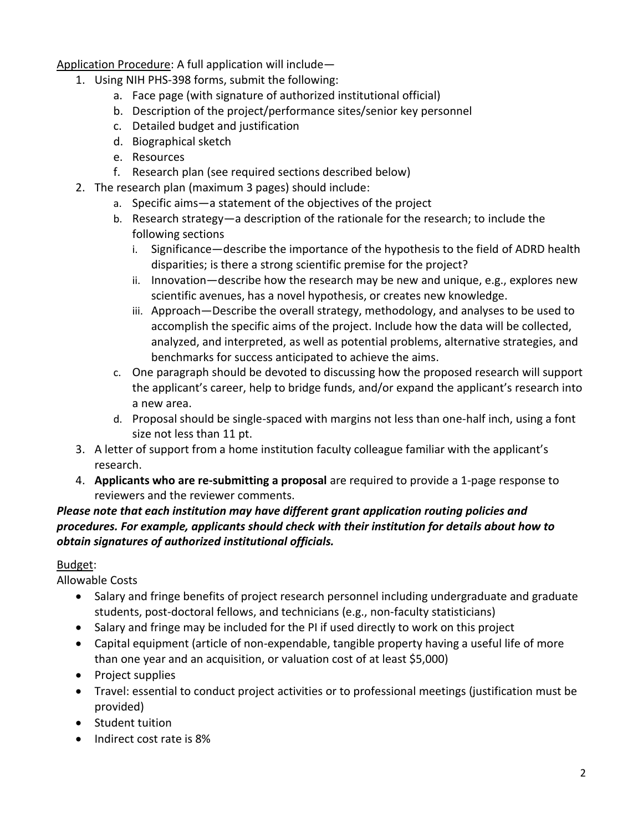Application Procedure: A full application will include—

- 1. Using NIH PHS-398 forms, submit the following:
	- a. Face page (with signature of authorized institutional official)
	- b. Description of the project/performance sites/senior key personnel
	- c. Detailed budget and justification
	- d. Biographical sketch
	- e. Resources
	- f. Research plan (see required sections described below)
- 2. The research plan (maximum 3 pages) should include:
	- a. Specific aims—a statement of the objectives of the project
	- b. Research strategy—a description of the rationale for the research; to include the following sections
		- i. Significance—describe the importance of the hypothesis to the field of ADRD health disparities; is there a strong scientific premise for the project?
		- ii. Innovation—describe how the research may be new and unique, e.g., explores new scientific avenues, has a novel hypothesis, or creates new knowledge.
		- iii. Approach—Describe the overall strategy, methodology, and analyses to be used to accomplish the specific aims of the project. Include how the data will be collected, analyzed, and interpreted, as well as potential problems, alternative strategies, and benchmarks for success anticipated to achieve the aims.
	- c. One paragraph should be devoted to discussing how the proposed research will support the applicant's career, help to bridge funds, and/or expand the applicant's research into a new area.
	- d. Proposal should be single-spaced with margins not less than one-half inch, using a font size not less than 11 pt.
- 3. A letter of support from a home institution faculty colleague familiar with the applicant's research.
- 4. **Applicants who are re-submitting a proposal** are required to provide a 1-page response to reviewers and the reviewer comments.

# *Please note that each institution may have different grant application routing policies and procedures. For example, applicants should check with their institution for details about how to obtain signatures of authorized institutional officials.*

Budget:

Allowable Costs

- Salary and fringe benefits of project research personnel including undergraduate and graduate students, post-doctoral fellows, and technicians (e.g., non-faculty statisticians)
- Salary and fringe may be included for the PI if used directly to work on this project
- Capital equipment (article of non-expendable, tangible property having a useful life of more than one year and an acquisition, or valuation cost of at least \$5,000)
- Project supplies
- Travel: essential to conduct project activities or to professional meetings (justification must be provided)
- Student tuition
- Indirect cost rate is 8%